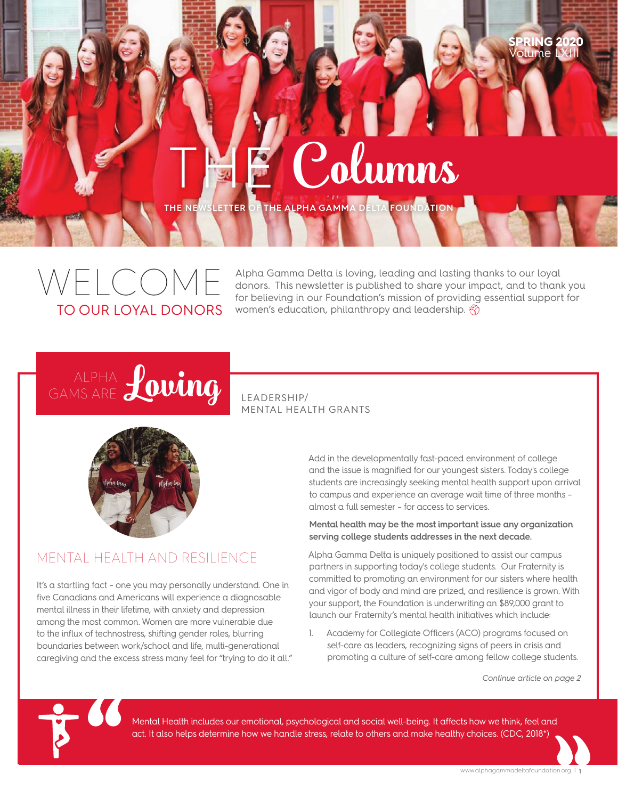# $H_1$  Columns

**THE NEWSLETTER OF THE ALPHA GAMMA DELTA FOUNDATION**

# TO OUR LOYAL DONORS

Alpha Gamma Delta is loving, leading and lasting thanks to our loyal donors. This newsletter is published to share your impact, and to thank you  $\begin{picture}(180,10) \put(0,0){\line(1,0){10}} \put(1,0){\line(1,0){10}} \put(1,0){\line(1,0){10}} \put(1,0){\line(1,0){10}} \put(1,0){\line(1,0){10}} \put(1,0){\line(1,0){10}} \put(1,0){\line(1,0){10}} \put(1,0){\line(1,0){10}} \put(1,0){\line(1,0){10}} \put(1,0){\line(1,0){10}} \put(1,0){\line(1,0){10}} \put(1,0){\line(1,0){10}} \put(1$ women's education, philanthropy and leadership.  $\hat{\mathcal{O}}$ 

## ALPHA **LOUING**

MENTAL HEALTH GRANTS



#### MENTAL HEALTH AND RESILIENCE

It's a startling fact – one you may personally understand. One in five Canadians and Americans will experience a diagnosable mental illness in their lifetime, with anxiety and depression among the most common. Women are more vulnerable due to the influx of technostress, shifting gender roles, blurring boundaries between work/school and life, multi-generational caregiving and the excess stress many feel for "trying to do it all." Add in the developmentally fast-paced environment of college and the issue is magnified for our youngest sisters. Today's college students are increasingly seeking mental health support upon arrival to campus and experience an average wait time of three months – almost a full semester – for access to services.

**Mental health may be the most important issue any organization serving college students addresses in the next decade.** 

Alpha Gamma Delta is uniquely positioned to assist our campus partners in supporting today's college students. Our Fraternity is committed to promoting an environment for our sisters where health and vigor of body and mind are prized, and resilience is grown. With your support, the Foundation is underwriting an \$89,000 grant to launch our Fraternity's mental health initiatives which include:

1. Academy for Collegiate Officers (ACO) programs focused on self-care as leaders, recognizing signs of peers in crisis and promoting a culture of self-care among fellow college students.

*Continue article on page 2*

**SPRING 2020** Volume LXIII



Mental Health includes our emotional, psychological and social well-being. It affects how we think, feel and act. It also helps determine how we handle stress, relate to others and make healthy choices. (CDC, 2018\*)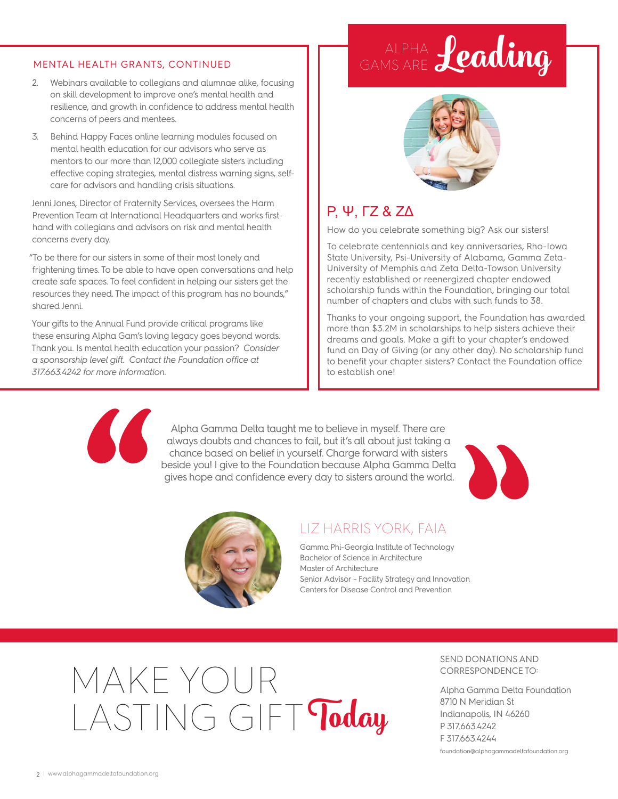#### MENTAL HEALTH GRANTS, CONTINUED

- 2. Webinars available to collegians and alumnae alike, focusing on skill development to improve one's mental health and resilience, and growth in confidence to address mental health concerns of peers and mentees.
- 3. Behind Happy Faces online learning modules focused on mental health education for our advisors who serve as mentors to our more than 12,000 collegiate sisters including effective coping strategies, mental distress warning signs, selfcare for advisors and handling crisis situations.

Jenni Jones, Director of Fraternity Services, oversees the Harm Prevention Team at International Headquarters and works firsthand with collegians and advisors on risk and mental health concerns every day.

"To be there for our sisters in some of their most lonely and frightening times. To be able to have open conversations and help create safe spaces. To feel confident in helping our sisters get the resources they need. The impact of this program has no bounds," shared Jenni.

Your gifts to the Annual Fund provide critical programs like these ensuring Alpha Gam's loving legacy goes beyond words. Thank you. Is mental health education your passion? *Consider a sponsorship level gift. Contact the Foundation office at 317.663.4242 for more information.*

## GAMS ARE Leading



#### Ρ, Ψ, ΓΖ & ΖΔ

How do you celebrate something big? Ask our sisters!

To celebrate centennials and key anniversaries, Rho-Iowa State University, Psi-University of Alabama, Gamma Zeta-University of Memphis and Zeta Delta-Towson University recently established or reenergized chapter endowed scholarship funds within the Foundation, bringing our total number of chapters and clubs with such funds to 38.

Thanks to your ongoing support, the Foundation has awarded more than \$3.2M in scholarships to help sisters achieve their dreams and goals. Make a gift to your chapter's endowed fund on Day of Giving (or any other day). No scholarship fund to benefit your chapter sisters? Contact the Foundation office to establish one!



Alpha Gamma Delta taught me to believe in myself. There are always doubts and chances to fail, but it's all about just taking a chance based on belief in yourself. Charge forward with sisters beside you! I give to the Foundation because Alpha Gamma Delta gives hope and confidence every day to sisters around the world.





#### LIZ HARRIS YORK, FAIA

Gamma Phi-Georgia Institute of Technology Bachelor of Science in Architecture Master of Architecture Senior Advisor – Facility Strategy and Innovation Centers for Disease Control and Prevention

## MAKE YOUR LASTING GIFT **Today**

SEND DONATIONS AND CORRESPONDENCE TO:

Alpha Gamma Delta Foundation 8710 N Meridian St Indianapolis, IN 46260 P 317.663.4242 F 317.663.4244 foundation@alphagammadeltafoundation.org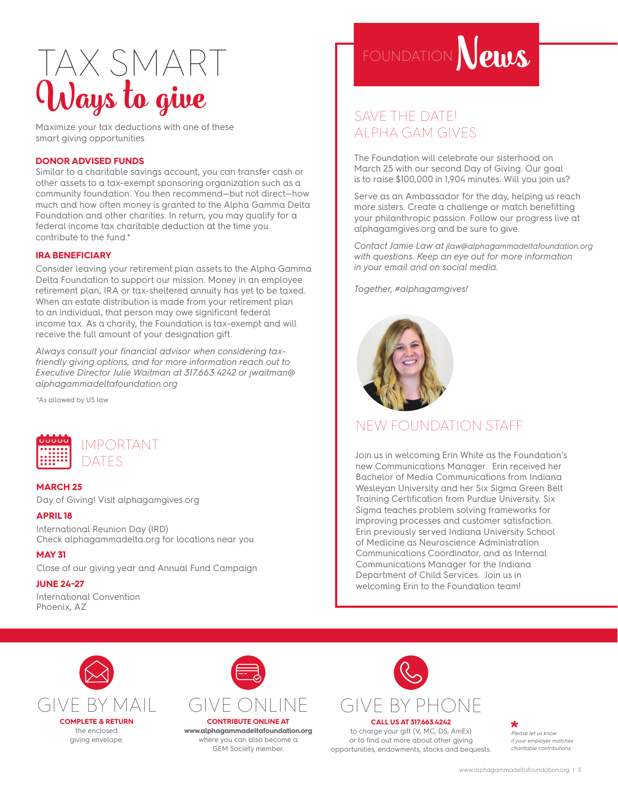## TAX SMART Ways to give

Maximize your tax deductions with one of these smart giving opportunities

#### **DONOR ADVISED FUNDS**

Similar to a charitable savings account, you can transfer cash or other assets to a tax-exempt sponsoring organization such as a community foundation. You then recommend—but not direct—how much and how often money is granted to the Alpha Gamma Delta Foundation and other charities. In return, you may qualify for a federal income tax charitable deduction at the time you contribute to the fund.\*

#### **IRA BENEFICIARY**

Consider leaving your retirement plan assets to the Alpha Gamma Delta Foundation to support our mission. Money in an employee retirement plan, IRA or tax-sheltered annuity has yet to be taxed. When an estate distribution is made from your retirement plan to an individual, that person may owe significant federal income tax. As a charity, the Foundation is tax-exempt and will receive the full amount of your designation gift.

*Always consult your financial advisor when considering taxfriendly giving options, and for more information reach out to Executive Director Julie Waitman at 317.663.4242 or jwaitman@ alphagammadeltafoundation.org*

\*As allowed by US law



#### **MARCH 25**

Day of Giving! Visit alphagamgives.org

#### **APRIL 18**

International Reunion Day (IRD) Check alphagammadelta.org for locations near you

#### **MAY 31**

Close of our giving year and Annual Fund Campaign

#### **JUNE 24-27**

International Convention Phoenix, AZ

### FOUNDATION **Vews**

#### SAVE THE DATE! ALPHA GAM GIVES

The Foundation will celebrate our sisterhood on March 25 with our second Day of Giving. Our goal is to raise \$100,000 in 1,904 minutes. Will you join us?

Serve as an Ambassador for the day, helping us reach more sisters. Create a challenge or match benefitting your philanthropic passion. Follow our progress live at alphagamgives.org and be sure to give.

*Contact Jamie Law at jlaw@alphagammadeltafoundation.org with questions. Keep an eye out for more information in your email and on social media.*

*Together, #alphagamgives!*



#### NEW FOUNDATION STAFF

Join us in welcoming Erin White as the Foundation's new Communications Manager. Erin received her Bachelor of Media Communications from Indiana Wesleyan University and her Six Sigma Green Belt Training Certification from Purdue University. Six Sigma teaches problem solving frameworks for improving processes and customer satisfaction. Erin previously served Indiana University School of Medicine as Neuroscience Administration Communications Coordinator, and as Internal Communications Manager for the Indiana Department of Child Services. Join us in welcoming Erin to the Foundation team!





**www.alphagammadeltafoundation.org** where you can also become a GEM Society member.



to charge your gift (V, MC, DS, AmEx) or to find out more about other giving opportunities, endowments, stocks and bequests. *Please let us know if your employer matches* \* *charitable contributions.*